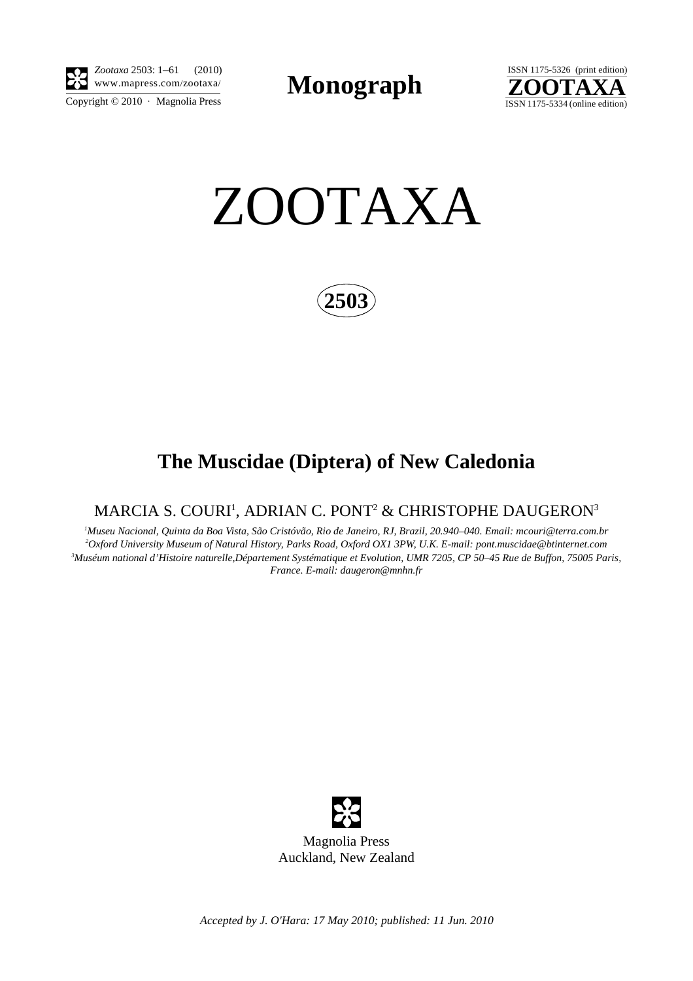

Copyright  $\odot$  2010 · Magnolia Press *Zootaxa* 2503: 1–61 (2010)

**Monograph** 



ZOOTAXA

**2503**

# **The Muscidae (Diptera) of New Caledonia**

## MARCIA S. COURI', ADRIAN C. PONT $^{\rm 2}$  & CHRISTOPHE DAUGERON $^{\rm 3}$

 *Museu Nacional, Quinta da Boa Vista, São Cristóvão, Rio de Janeiro, RJ, Brazil, 20.940–040. Email: mcouri@terra.com.br Oxford University Museum of Natural History, Parks Road, Oxford OX1 3PW, U.K. E-mail: pont.muscidae@btinternet.com Muséum national d'Histoire naturelle,Département Systématique et Evolution, UMR 7205, CP 50–45 Rue de Buffon, 75005 Paris, France. E-mail: daugeron@mnhn.fr*

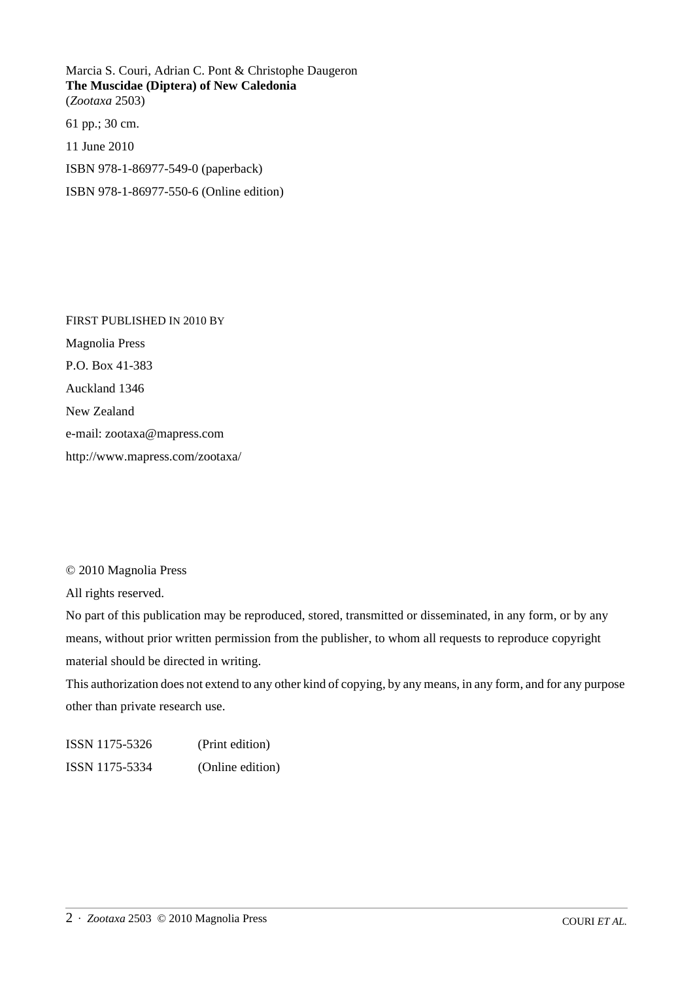Marcia S. Couri, Adrian C. Pont & Christophe Daugeron **The Muscidae (Diptera) of New Caledonia** (*Zootaxa* 2503)

61 pp.; 30 cm. 11 June 2010

ISBN 978-1-86977-549-0 (paperback)

ISBN 978-1-86977-550-6 (Online edition)

FIRST PUBLISHED IN 2010 BY Magnolia Press P.O. Box 41-383 Auckland 1346 New Zealand e-mail: zootaxa@mapress.com http://www.mapress.com/zootaxa/

### © 2010 Magnolia Press

All rights reserved.

No part of this publication may be reproduced, stored, transmitted or disseminated, in any form, or by any means, without prior written permission from the publisher, to whom all requests to reproduce copyright material should be directed in writing.

This authorization does not extend to any other kind of copying, by any means, in any form, and for any purpose other than private research use.

ISSN 1175-5326 (Print edition) ISSN 1175-5334 (Online edition)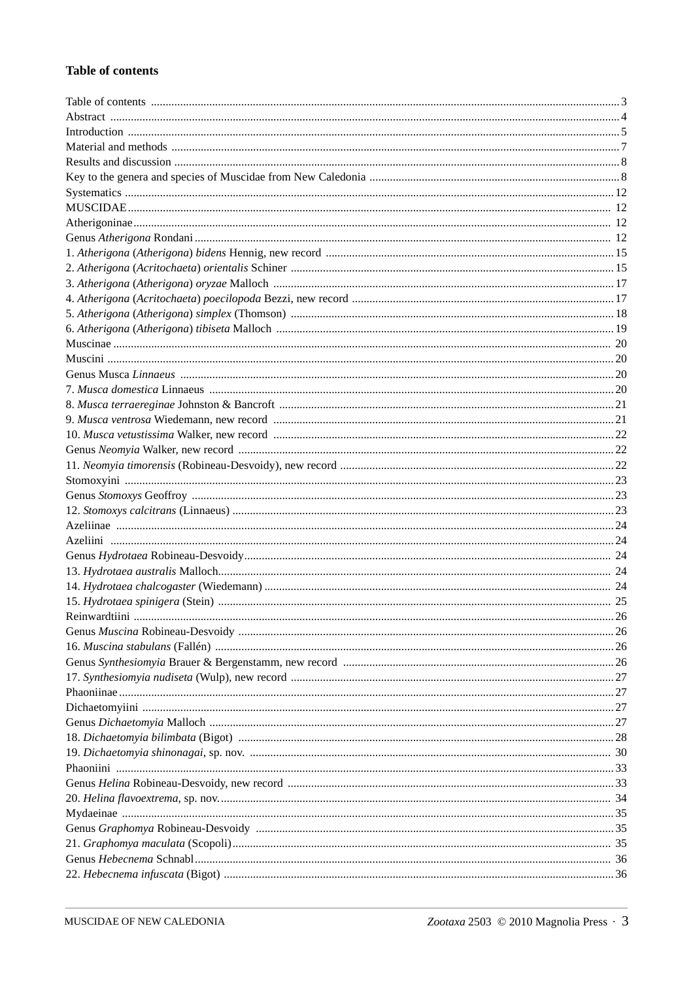#### **Table of contents**